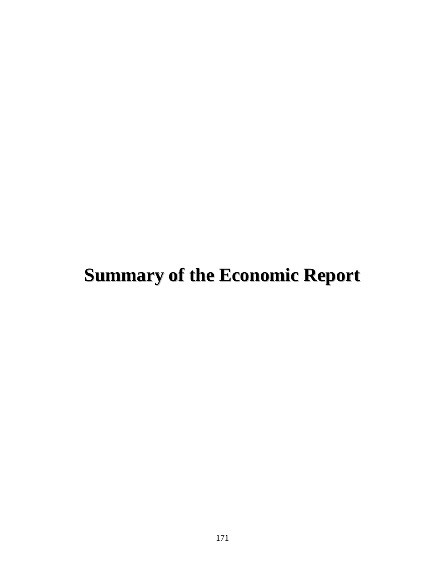# **Summary of the Economic Report**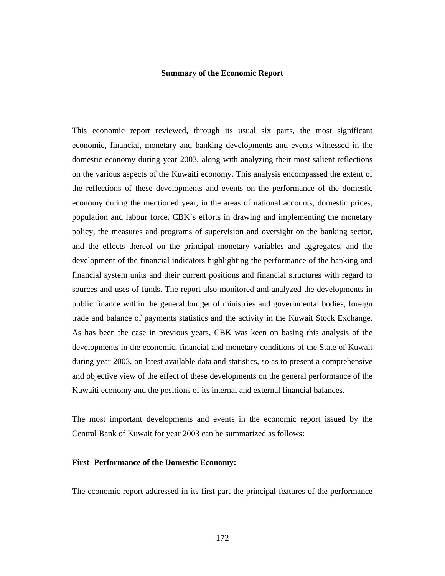### **Summary of the Economic Report**

This economic report reviewed, through its usual six parts, the most significant economic, financial, monetary and banking developments and events witnessed in the domestic economy during year 2003, along with analyzing their most salient reflections on the various aspects of the Kuwaiti economy. This analysis encompassed the extent of the reflections of these developments and events on the performance of the domestic economy during the mentioned year, in the areas of national accounts, domestic prices, population and labour force, CBK's efforts in drawing and implementing the monetary policy, the measures and programs of supervision and oversight on the banking sector, and the effects thereof on the principal monetary variables and aggregates, and the development of the financial indicators highlighting the performance of the banking and financial system units and their current positions and financial structures with regard to sources and uses of funds. The report also monitored and analyzed the developments in public finance within the general budget of ministries and governmental bodies, foreign trade and balance of payments statistics and the activity in the Kuwait Stock Exchange. As has been the case in previous years, CBK was keen on basing this analysis of the developments in the economic, financial and monetary conditions of the State of Kuwait during year 2003, on latest available data and statistics, so as to present a comprehensive and objective view of the effect of these developments on the general performance of the Kuwaiti economy and the positions of its internal and external financial balances.

The most important developments and events in the economic report issued by the Central Bank of Kuwait for year 2003 can be summarized as follows:

#### **First- Performance of the Domestic Economy:**

The economic report addressed in its first part the principal features of the performance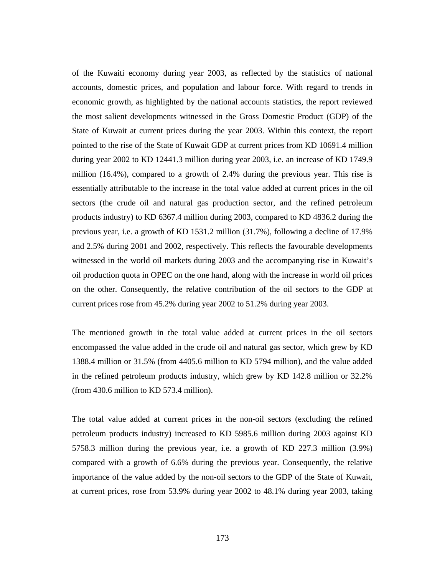of the Kuwaiti economy during year 2003, as reflected by the statistics of national accounts, domestic prices, and population and labour force. With regard to trends in economic growth, as highlighted by the national accounts statistics, the report reviewed the most salient developments witnessed in the Gross Domestic Product (GDP) of the State of Kuwait at current prices during the year 2003. Within this context, the report pointed to the rise of the State of Kuwait GDP at current prices from KD 10691.4 million during year 2002 to KD 12441.3 million during year 2003, i.e. an increase of KD 1749.9 million (16.4%), compared to a growth of 2.4% during the previous year. This rise is essentially attributable to the increase in the total value added at current prices in the oil sectors (the crude oil and natural gas production sector, and the refined petroleum products industry) to KD 6367.4 million during 2003, compared to KD 4836.2 during the previous year, i.e. a growth of KD 1531.2 million (31.7%), following a decline of 17.9% and 2.5% during 2001 and 2002, respectively. This reflects the favourable developments witnessed in the world oil markets during 2003 and the accompanying rise in Kuwait's oil production quota in OPEC on the one hand, along with the increase in world oil prices on the other. Consequently, the relative contribution of the oil sectors to the GDP at current prices rose from 45.2% during year 2002 to 51.2% during year 2003.

The mentioned growth in the total value added at current prices in the oil sectors encompassed the value added in the crude oil and natural gas sector, which grew by KD 1388.4 million or 31.5% (from 4405.6 million to KD 5794 million), and the value added in the refined petroleum products industry, which grew by KD 142.8 million or 32.2% (from 430.6 million to KD 573.4 million).

The total value added at current prices in the non-oil sectors (excluding the refined petroleum products industry) increased to KD 5985.6 million during 2003 against KD 5758.3 million during the previous year, i.e. a growth of KD 227.3 million (3.9%) compared with a growth of 6.6% during the previous year. Consequently, the relative importance of the value added by the non-oil sectors to the GDP of the State of Kuwait, at current prices, rose from 53.9% during year 2002 to 48.1% during year 2003, taking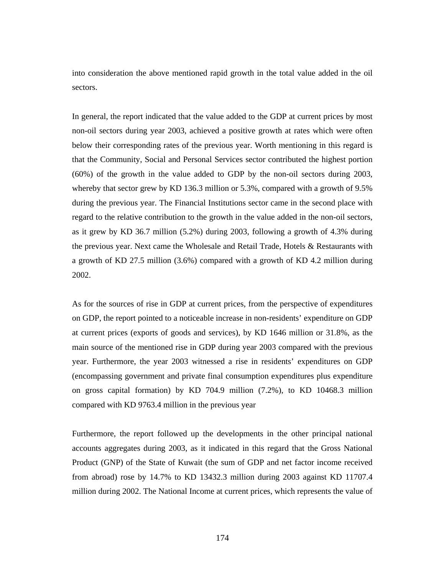into consideration the above mentioned rapid growth in the total value added in the oil sectors.

In general, the report indicated that the value added to the GDP at current prices by most non-oil sectors during year 2003, achieved a positive growth at rates which were often below their corresponding rates of the previous year. Worth mentioning in this regard is that the Community, Social and Personal Services sector contributed the highest portion (60%) of the growth in the value added to GDP by the non-oil sectors during 2003, whereby that sector grew by KD 136.3 million or 5.3%, compared with a growth of 9.5% during the previous year. The Financial Institutions sector came in the second place with regard to the relative contribution to the growth in the value added in the non-oil sectors, as it grew by KD 36.7 million (5.2%) during 2003, following a growth of 4.3% during the previous year. Next came the Wholesale and Retail Trade, Hotels & Restaurants with a growth of KD 27.5 million (3.6%) compared with a growth of KD 4.2 million during 2002.

As for the sources of rise in GDP at current prices, from the perspective of expenditures on GDP, the report pointed to a noticeable increase in non-residents' expenditure on GDP at current prices (exports of goods and services), by KD 1646 million or 31.8%, as the main source of the mentioned rise in GDP during year 2003 compared with the previous year. Furthermore, the year 2003 witnessed a rise in residents' expenditures on GDP (encompassing government and private final consumption expenditures plus expenditure on gross capital formation) by KD 704.9 million (7.2%), to KD 10468.3 million compared with KD 9763.4 million in the previous year

Furthermore, the report followed up the developments in the other principal national accounts aggregates during 2003, as it indicated in this regard that the Gross National Product (GNP) of the State of Kuwait (the sum of GDP and net factor income received from abroad) rose by 14.7% to KD 13432.3 million during 2003 against KD 11707.4 million during 2002. The National Income at current prices, which represents the value of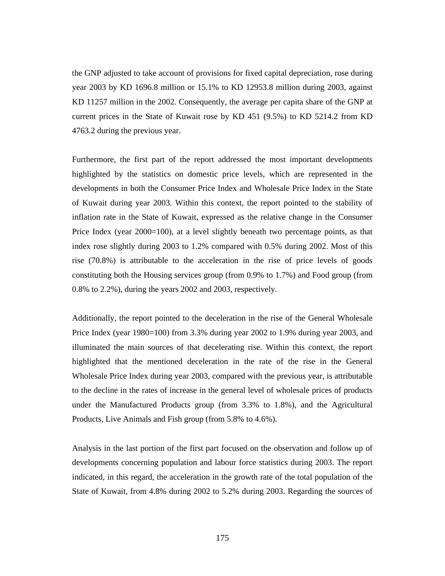the GNP adjusted to take account of provisions for fixed capital depreciation, rose during year 2003 by KD 1696.8 million or 15.1% to KD 12953.8 million during 2003, against KD 11257 million in the 2002. Consequently, the average per capita share of the GNP at current prices in the State of Kuwait rose by KD 451 (9.5%) to KD 5214.2 from KD 4763.2 during the previous year.

Furthermore, the first part of the report addressed the most important developments highlighted by the statistics on domestic price levels, which are represented in the developments in both the Consumer Price Index and Wholesale Price Index in the State of Kuwait during year 2003. Within this context, the report pointed to the stability of inflation rate in the State of Kuwait, expressed as the relative change in the Consumer Price Index (year 2000=100), at a level slightly beneath two percentage points, as that index rose slightly during 2003 to 1.2% compared with 0.5% during 2002. Most of this rise (70.8%) is attributable to the acceleration in the rise of price levels of goods constituting both the Housing services group (from 0.9% to 1.7%) and Food group (from 0.8% to 2.2%), during the years 2002 and 2003, respectively.

Additionally, the report pointed to the deceleration in the rise of the General Wholesale Price Index (year 1980=100) from 3.3% during year 2002 to 1.9% during year 2003, and illuminated the main sources of that decelerating rise. Within this context, the report highlighted that the mentioned deceleration in the rate of the rise in the General Wholesale Price Index during year 2003, compared with the previous year, is attributable to the decline in the rates of increase in the general level of wholesale prices of products under the Manufactured Products group (from 3.3% to 1.8%), and the Agricultural Products, Live Animals and Fish group (from 5.8% to 4.6%).

Analysis in the last portion of the first part focused on the observation and follow up of developments concerning population and labour force statistics during 2003. The report indicated, in this regard, the acceleration in the growth rate of the total population of the State of Kuwait, from 4.8% during 2002 to 5.2% during 2003. Regarding the sources of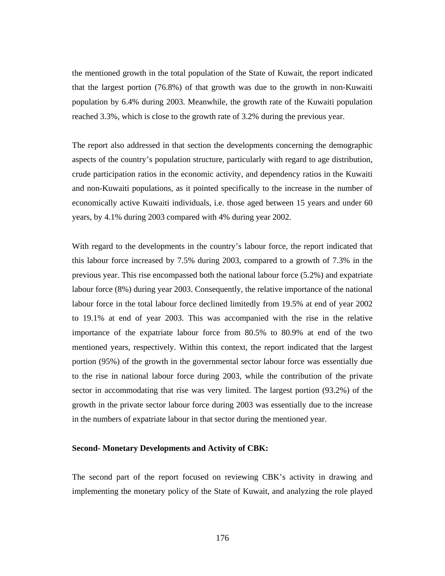the mentioned growth in the total population of the State of Kuwait, the report indicated that the largest portion (76.8%) of that growth was due to the growth in non-Kuwaiti population by 6.4% during 2003. Meanwhile, the growth rate of the Kuwaiti population reached 3.3%, which is close to the growth rate of 3.2% during the previous year.

The report also addressed in that section the developments concerning the demographic aspects of the country's population structure, particularly with regard to age distribution, crude participation ratios in the economic activity, and dependency ratios in the Kuwaiti and non-Kuwaiti populations, as it pointed specifically to the increase in the number of economically active Kuwaiti individuals, i.e. those aged between 15 years and under 60 years, by 4.1% during 2003 compared with 4% during year 2002.

With regard to the developments in the country's labour force, the report indicated that this labour force increased by 7.5% during 2003, compared to a growth of 7.3% in the previous year. This rise encompassed both the national labour force (5.2%) and expatriate labour force (8%) during year 2003. Consequently, the relative importance of the national labour force in the total labour force declined limitedly from 19.5% at end of year 2002 to 19.1% at end of year 2003. This was accompanied with the rise in the relative importance of the expatriate labour force from 80.5% to 80.9% at end of the two mentioned years, respectively. Within this context, the report indicated that the largest portion (95%) of the growth in the governmental sector labour force was essentially due to the rise in national labour force during 2003, while the contribution of the private sector in accommodating that rise was very limited. The largest portion (93.2%) of the growth in the private sector labour force during 2003 was essentially due to the increase in the numbers of expatriate labour in that sector during the mentioned year.

# **Second- Monetary Developments and Activity of CBK:**

The second part of the report focused on reviewing CBK's activity in drawing and implementing the monetary policy of the State of Kuwait, and analyzing the role played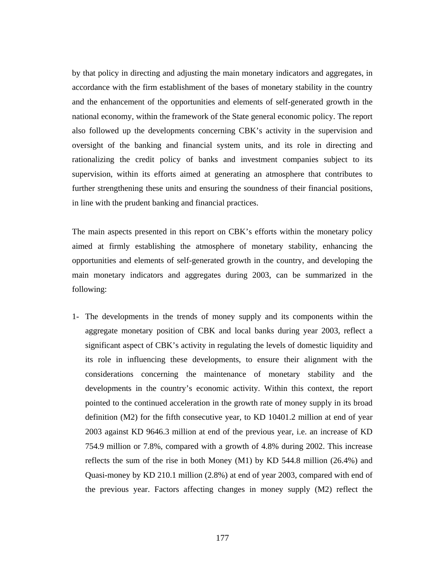by that policy in directing and adjusting the main monetary indicators and aggregates, in accordance with the firm establishment of the bases of monetary stability in the country and the enhancement of the opportunities and elements of self-generated growth in the national economy, within the framework of the State general economic policy. The report also followed up the developments concerning CBK's activity in the supervision and oversight of the banking and financial system units, and its role in directing and rationalizing the credit policy of banks and investment companies subject to its supervision, within its efforts aimed at generating an atmosphere that contributes to further strengthening these units and ensuring the soundness of their financial positions, in line with the prudent banking and financial practices.

The main aspects presented in this report on CBK's efforts within the monetary policy aimed at firmly establishing the atmosphere of monetary stability, enhancing the opportunities and elements of self-generated growth in the country, and developing the main monetary indicators and aggregates during 2003, can be summarized in the following:

1- The developments in the trends of money supply and its components within the aggregate monetary position of CBK and local banks during year 2003, reflect a significant aspect of CBK's activity in regulating the levels of domestic liquidity and its role in influencing these developments, to ensure their alignment with the considerations concerning the maintenance of monetary stability and the developments in the country's economic activity. Within this context, the report pointed to the continued acceleration in the growth rate of money supply in its broad definition (M2) for the fifth consecutive year, to KD 10401.2 million at end of year 2003 against KD 9646.3 million at end of the previous year, i.e. an increase of KD 754.9 million or 7.8%, compared with a growth of 4.8% during 2002. This increase reflects the sum of the rise in both Money (M1) by KD 544.8 million (26.4%) and Quasi-money by KD 210.1 million (2.8%) at end of year 2003, compared with end of the previous year. Factors affecting changes in money supply (M2) reflect the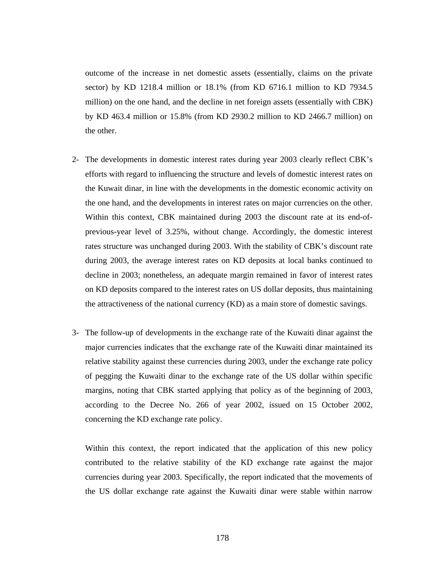outcome of the increase in net domestic assets (essentially, claims on the private sector) by KD 1218.4 million or 18.1% (from KD 6716.1 million to KD 7934.5 million) on the one hand, and the decline in net foreign assets (essentially with CBK) by KD 463.4 million or 15.8% (from KD 2930.2 million to KD 2466.7 million) on the other.

- 2- The developments in domestic interest rates during year 2003 clearly reflect CBK's efforts with regard to influencing the structure and levels of domestic interest rates on the Kuwait dinar, in line with the developments in the domestic economic activity on the one hand, and the developments in interest rates on major currencies on the other. Within this context, CBK maintained during 2003 the discount rate at its end-ofprevious-year level of 3.25%, without change. Accordingly, the domestic interest rates structure was unchanged during 2003. With the stability of CBK's discount rate during 2003, the average interest rates on KD deposits at local banks continued to decline in 2003; nonetheless, an adequate margin remained in favor of interest rates on KD deposits compared to the interest rates on US dollar deposits, thus maintaining the attractiveness of the national currency (KD) as a main store of domestic savings.
- 3- The follow-up of developments in the exchange rate of the Kuwaiti dinar against the major currencies indicates that the exchange rate of the Kuwaiti dinar maintained its relative stability against these currencies during 2003, under the exchange rate policy of pegging the Kuwaiti dinar to the exchange rate of the US dollar within specific margins, noting that CBK started applying that policy as of the beginning of 2003, according to the Decree No. 266 of year 2002, issued on 15 October 2002, concerning the KD exchange rate policy.

Within this context, the report indicated that the application of this new policy contributed to the relative stability of the KD exchange rate against the major currencies during year 2003. Specifically, the report indicated that the movements of the US dollar exchange rate against the Kuwaiti dinar were stable within narrow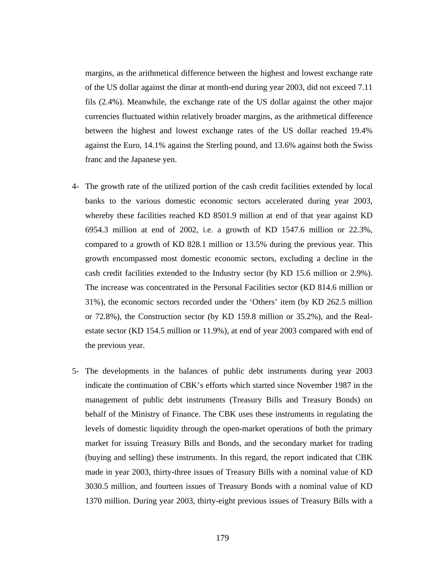margins, as the arithmetical difference between the highest and lowest exchange rate of the US dollar against the dinar at month-end during year 2003, did not exceed 7.11 fils (2.4%). Meanwhile, the exchange rate of the US dollar against the other major currencies fluctuated within relatively broader margins, as the arithmetical difference between the highest and lowest exchange rates of the US dollar reached 19.4% against the Euro, 14.1% against the Sterling pound, and 13.6% against both the Swiss franc and the Japanese yen.

- 4- The growth rate of the utilized portion of the cash credit facilities extended by local banks to the various domestic economic sectors accelerated during year 2003, whereby these facilities reached KD 8501.9 million at end of that year against KD 6954.3 million at end of 2002, i.e. a growth of KD 1547.6 million or 22.3%, compared to a growth of KD 828.1 million or 13.5% during the previous year. This growth encompassed most domestic economic sectors, excluding a decline in the cash credit facilities extended to the Industry sector (by KD 15.6 million or 2.9%). The increase was concentrated in the Personal Facilities sector (KD 814.6 million or 31%), the economic sectors recorded under the 'Others' item (by KD 262.5 million or 72.8%), the Construction sector (by KD 159.8 million or 35.2%), and the Realestate sector (KD 154.5 million or 11.9%), at end of year 2003 compared with end of the previous year.
- 5- The developments in the balances of public debt instruments during year 2003 indicate the continuation of CBK's efforts which started since November 1987 in the management of public debt instruments (Treasury Bills and Treasury Bonds) on behalf of the Ministry of Finance. The CBK uses these instruments in regulating the levels of domestic liquidity through the open-market operations of both the primary market for issuing Treasury Bills and Bonds, and the secondary market for trading (buying and selling) these instruments. In this regard, the report indicated that CBK made in year 2003, thirty-three issues of Treasury Bills with a nominal value of KD 3030.5 million, and fourteen issues of Treasury Bonds with a nominal value of KD 1370 million. During year 2003, thirty-eight previous issues of Treasury Bills with a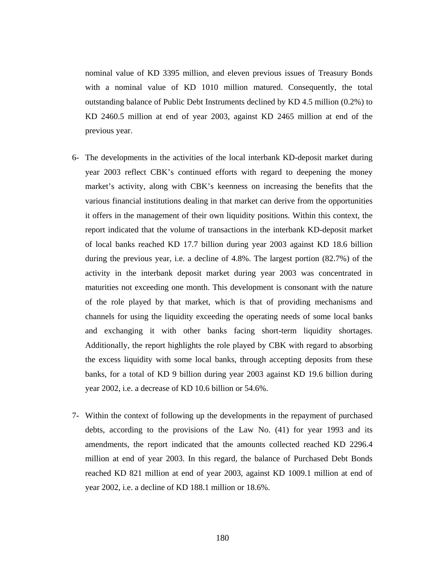nominal value of KD 3395 million, and eleven previous issues of Treasury Bonds with a nominal value of KD 1010 million matured. Consequently, the total outstanding balance of Public Debt Instruments declined by KD 4.5 million (0.2%) to KD 2460.5 million at end of year 2003, against KD 2465 million at end of the previous year.

- 6- The developments in the activities of the local interbank KD-deposit market during year 2003 reflect CBK's continued efforts with regard to deepening the money market's activity, along with CBK's keenness on increasing the benefits that the various financial institutions dealing in that market can derive from the opportunities it offers in the management of their own liquidity positions. Within this context, the report indicated that the volume of transactions in the interbank KD-deposit market of local banks reached KD 17.7 billion during year 2003 against KD 18.6 billion during the previous year, i.e. a decline of 4.8%. The largest portion (82.7%) of the activity in the interbank deposit market during year 2003 was concentrated in maturities not exceeding one month. This development is consonant with the nature of the role played by that market, which is that of providing mechanisms and channels for using the liquidity exceeding the operating needs of some local banks and exchanging it with other banks facing short-term liquidity shortages. Additionally, the report highlights the role played by CBK with regard to absorbing the excess liquidity with some local banks, through accepting deposits from these banks, for a total of KD 9 billion during year 2003 against KD 19.6 billion during year 2002, i.e. a decrease of KD 10.6 billion or 54.6%.
- 7- Within the context of following up the developments in the repayment of purchased debts, according to the provisions of the Law No. (41) for year 1993 and its amendments, the report indicated that the amounts collected reached KD 2296.4 million at end of year 2003. In this regard, the balance of Purchased Debt Bonds reached KD 821 million at end of year 2003, against KD 1009.1 million at end of year 2002, i.e. a decline of KD 188.1 million or 18.6%.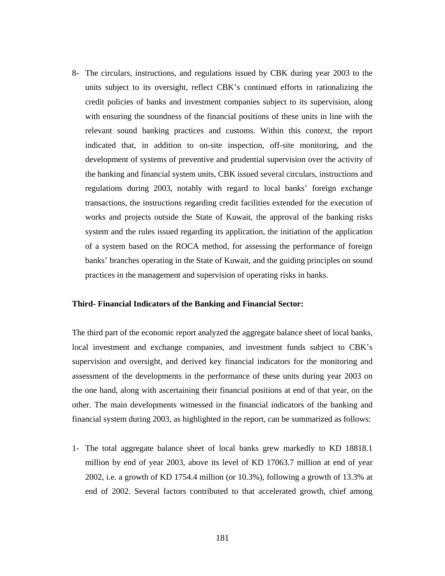8- The circulars, instructions, and regulations issued by CBK during year 2003 to the units subject to its oversight, reflect CBK's continued efforts in rationalizing the credit policies of banks and investment companies subject to its supervision, along with ensuring the soundness of the financial positions of these units in line with the relevant sound banking practices and customs. Within this context, the report indicated that, in addition to on-site inspection, off-site monitoring, and the development of systems of preventive and prudential supervision over the activity of the banking and financial system units, CBK issued several circulars, instructions and regulations during 2003, notably with regard to local banks' foreign exchange transactions, the instructions regarding credit facilities extended for the execution of works and projects outside the State of Kuwait, the approval of the banking risks system and the rules issued regarding its application, the initiation of the application of a system based on the ROCA method, for assessing the performance of foreign banks' branches operating in the State of Kuwait, and the guiding principles on sound practices in the management and supervision of operating risks in banks.

## **Third- Financial Indicators of the Banking and Financial Sector:**

The third part of the economic report analyzed the aggregate balance sheet of local banks, local investment and exchange companies, and investment funds subject to CBK's supervision and oversight, and derived key financial indicators for the monitoring and assessment of the developments in the performance of these units during year 2003 on the one hand, along with ascertaining their financial positions at end of that year, on the other. The main developments witnessed in the financial indicators of the banking and financial system during 2003, as highlighted in the report, can be summarized as follows:

1- The total aggregate balance sheet of local banks grew markedly to KD 18818.1 million by end of year 2003, above its level of KD 17063.7 million at end of year 2002, i.e. a growth of KD 1754.4 million (or 10.3%), following a growth of 13.3% at end of 2002. Several factors contributed to that accelerated growth, chief among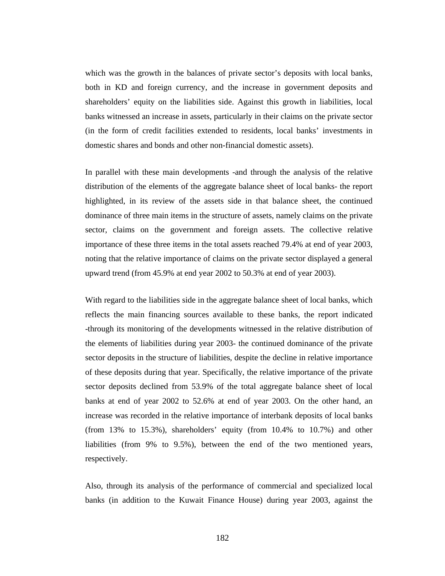which was the growth in the balances of private sector's deposits with local banks, both in KD and foreign currency, and the increase in government deposits and shareholders' equity on the liabilities side. Against this growth in liabilities, local banks witnessed an increase in assets, particularly in their claims on the private sector (in the form of credit facilities extended to residents, local banks' investments in domestic shares and bonds and other non-financial domestic assets).

In parallel with these main developments -and through the analysis of the relative distribution of the elements of the aggregate balance sheet of local banks- the report highlighted, in its review of the assets side in that balance sheet, the continued dominance of three main items in the structure of assets, namely claims on the private sector, claims on the government and foreign assets. The collective relative importance of these three items in the total assets reached 79.4% at end of year 2003, noting that the relative importance of claims on the private sector displayed a general upward trend (from 45.9% at end year 2002 to 50.3% at end of year 2003).

With regard to the liabilities side in the aggregate balance sheet of local banks, which reflects the main financing sources available to these banks, the report indicated -through its monitoring of the developments witnessed in the relative distribution of the elements of liabilities during year 2003- the continued dominance of the private sector deposits in the structure of liabilities, despite the decline in relative importance of these deposits during that year. Specifically, the relative importance of the private sector deposits declined from 53.9% of the total aggregate balance sheet of local banks at end of year 2002 to 52.6% at end of year 2003. On the other hand, an increase was recorded in the relative importance of interbank deposits of local banks (from 13% to 15.3%), shareholders' equity (from 10.4% to 10.7%) and other liabilities (from 9% to 9.5%), between the end of the two mentioned years, respectively.

Also, through its analysis of the performance of commercial and specialized local banks (in addition to the Kuwait Finance House) during year 2003, against the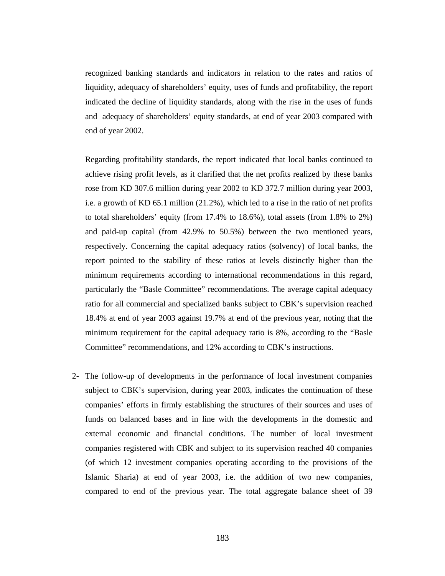recognized banking standards and indicators in relation to the rates and ratios of liquidity, adequacy of shareholders' equity, uses of funds and profitability, the report indicated the decline of liquidity standards, along with the rise in the uses of funds and adequacy of shareholders' equity standards, at end of year 2003 compared with end of year 2002.

Regarding profitability standards, the report indicated that local banks continued to achieve rising profit levels, as it clarified that the net profits realized by these banks rose from KD 307.6 million during year 2002 to KD 372.7 million during year 2003, i.e. a growth of KD 65.1 million (21.2%), which led to a rise in the ratio of net profits to total shareholders' equity (from 17.4% to 18.6%), total assets (from 1.8% to 2%) and paid-up capital (from 42.9% to 50.5%) between the two mentioned years, respectively. Concerning the capital adequacy ratios (solvency) of local banks, the report pointed to the stability of these ratios at levels distinctly higher than the minimum requirements according to international recommendations in this regard, particularly the "Basle Committee" recommendations. The average capital adequacy ratio for all commercial and specialized banks subject to CBK's supervision reached 18.4% at end of year 2003 against 19.7% at end of the previous year, noting that the minimum requirement for the capital adequacy ratio is 8%, according to the "Basle Committee" recommendations, and 12% according to CBK's instructions.

2- The follow-up of developments in the performance of local investment companies subject to CBK's supervision, during year 2003, indicates the continuation of these companies' efforts in firmly establishing the structures of their sources and uses of funds on balanced bases and in line with the developments in the domestic and external economic and financial conditions. The number of local investment companies registered with CBK and subject to its supervision reached 40 companies (of which 12 investment companies operating according to the provisions of the Islamic Sharia) at end of year 2003, i.e. the addition of two new companies, compared to end of the previous year. The total aggregate balance sheet of 39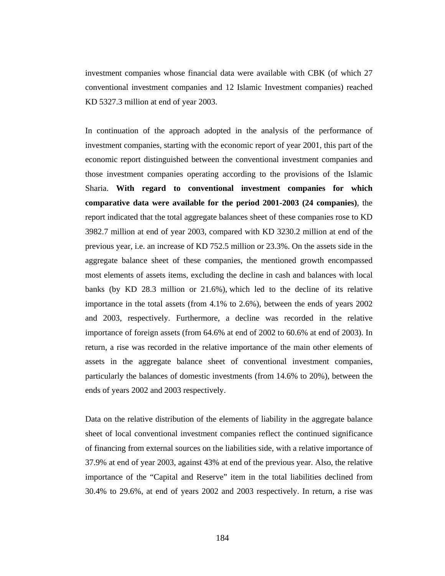investment companies whose financial data were available with CBK (of which 27 conventional investment companies and 12 Islamic Investment companies) reached KD 5327.3 million at end of year 2003.

In continuation of the approach adopted in the analysis of the performance of investment companies, starting with the economic report of year 2001, this part of the economic report distinguished between the conventional investment companies and those investment companies operating according to the provisions of the Islamic Sharia. **With regard to conventional investment companies for which comparative data were available for the period 2001-2003 (24 companies)**, the report indicated that the total aggregate balances sheet of these companies rose to KD 3982.7 million at end of year 2003, compared with KD 3230.2 million at end of the previous year, i.e. an increase of KD 752.5 million or 23.3%. On the assets side in the aggregate balance sheet of these companies, the mentioned growth encompassed most elements of assets items, excluding the decline in cash and balances with local banks (by KD 28.3 million or 21.6%), which led to the decline of its relative importance in the total assets (from 4.1% to 2.6%), between the ends of years 2002 and 2003, respectively. Furthermore, a decline was recorded in the relative importance of foreign assets (from 64.6% at end of 2002 to 60.6% at end of 2003). In return, a rise was recorded in the relative importance of the main other elements of assets in the aggregate balance sheet of conventional investment companies, particularly the balances of domestic investments (from 14.6% to 20%), between the ends of years 2002 and 2003 respectively.

Data on the relative distribution of the elements of liability in the aggregate balance sheet of local conventional investment companies reflect the continued significance of financing from external sources on the liabilities side, with a relative importance of 37.9% at end of year 2003, against 43% at end of the previous year. Also, the relative importance of the "Capital and Reserve" item in the total liabilities declined from 30.4% to 29.6%, at end of years 2002 and 2003 respectively. In return, a rise was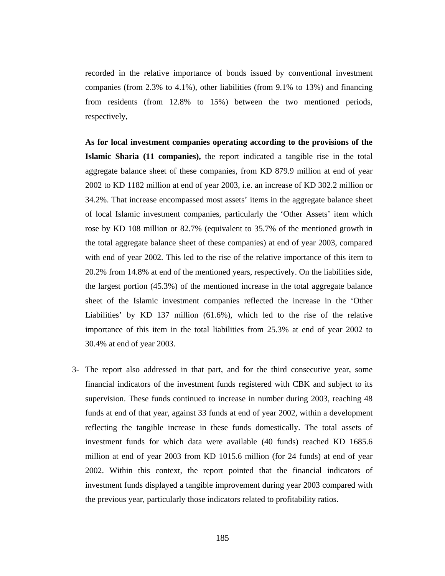recorded in the relative importance of bonds issued by conventional investment companies (from 2.3% to 4.1%), other liabilities (from 9.1% to 13%) and financing from residents (from 12.8% to 15%) between the two mentioned periods, respectively,

**As for local investment companies operating according to the provisions of the Islamic Sharia (11 companies),** the report indicated a tangible rise in the total aggregate balance sheet of these companies, from KD 879.9 million at end of year 2002 to KD 1182 million at end of year 2003, i.e. an increase of KD 302.2 million or 34.2%. That increase encompassed most assets' items in the aggregate balance sheet of local Islamic investment companies, particularly the 'Other Assets' item which rose by KD 108 million or 82.7% (equivalent to 35.7% of the mentioned growth in the total aggregate balance sheet of these companies) at end of year 2003, compared with end of year 2002. This led to the rise of the relative importance of this item to 20.2% from 14.8% at end of the mentioned years, respectively. On the liabilities side, the largest portion (45.3%) of the mentioned increase in the total aggregate balance sheet of the Islamic investment companies reflected the increase in the 'Other Liabilities' by KD 137 million (61.6%), which led to the rise of the relative importance of this item in the total liabilities from 25.3% at end of year 2002 to 30.4% at end of year 2003.

3- The report also addressed in that part, and for the third consecutive year, some financial indicators of the investment funds registered with CBK and subject to its supervision. These funds continued to increase in number during 2003, reaching 48 funds at end of that year, against 33 funds at end of year 2002, within a development reflecting the tangible increase in these funds domestically. The total assets of investment funds for which data were available (40 funds) reached KD 1685.6 million at end of year 2003 from KD 1015.6 million (for 24 funds) at end of year 2002. Within this context, the report pointed that the financial indicators of investment funds displayed a tangible improvement during year 2003 compared with the previous year, particularly those indicators related to profitability ratios.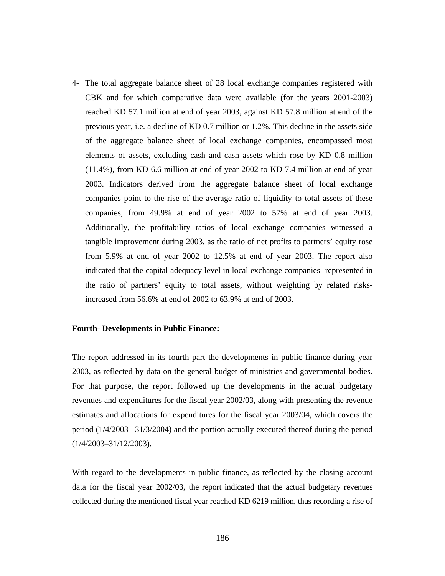4- The total aggregate balance sheet of 28 local exchange companies registered with CBK and for which comparative data were available (for the years 2001-2003) reached KD 57.1 million at end of year 2003, against KD 57.8 million at end of the previous year, i.e. a decline of KD 0.7 million or 1.2%. This decline in the assets side of the aggregate balance sheet of local exchange companies, encompassed most elements of assets, excluding cash and cash assets which rose by KD 0.8 million (11.4%), from KD 6.6 million at end of year 2002 to KD 7.4 million at end of year 2003. Indicators derived from the aggregate balance sheet of local exchange companies point to the rise of the average ratio of liquidity to total assets of these companies, from 49.9% at end of year 2002 to 57% at end of year 2003. Additionally, the profitability ratios of local exchange companies witnessed a tangible improvement during 2003, as the ratio of net profits to partners' equity rose from 5.9% at end of year 2002 to 12.5% at end of year 2003. The report also indicated that the capital adequacy level in local exchange companies -represented in the ratio of partners' equity to total assets, without weighting by related risksincreased from 56.6% at end of 2002 to 63.9% at end of 2003.

## **Fourth- Developments in Public Finance:**

The report addressed in its fourth part the developments in public finance during year 2003, as reflected by data on the general budget of ministries and governmental bodies. For that purpose, the report followed up the developments in the actual budgetary revenues and expenditures for the fiscal year 2002/03, along with presenting the revenue estimates and allocations for expenditures for the fiscal year 2003/04, which covers the period (1/4/2003– 31/3/2004) and the portion actually executed thereof during the period (1/4/2003–31/12/2003).

With regard to the developments in public finance, as reflected by the closing account data for the fiscal year 2002/03, the report indicated that the actual budgetary revenues collected during the mentioned fiscal year reached KD 6219 million, thus recording a rise of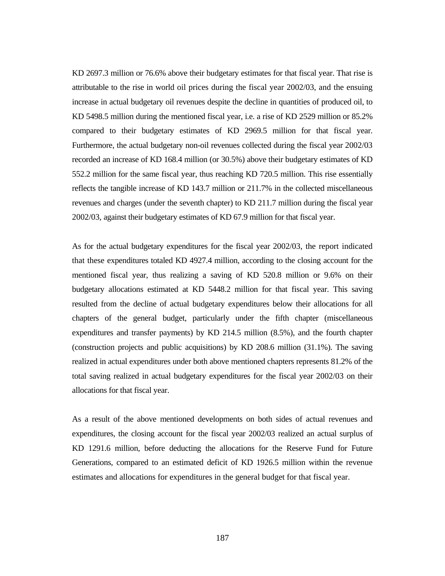KD 2697.3 million or 76.6% above their budgetary estimates for that fiscal year. That rise is attributable to the rise in world oil prices during the fiscal year 2002/03, and the ensuing increase in actual budgetary oil revenues despite the decline in quantities of produced oil, to KD 5498.5 million during the mentioned fiscal year, i.e. a rise of KD 2529 million or 85.2% compared to their budgetary estimates of KD 2969.5 million for that fiscal year. Furthermore, the actual budgetary non-oil revenues collected during the fiscal year 2002/03 recorded an increase of KD 168.4 million (or 30.5%) above their budgetary estimates of KD 552.2 million for the same fiscal year, thus reaching KD 720.5 million. This rise essentially reflects the tangible increase of KD 143.7 million or 211.7% in the collected miscellaneous revenues and charges (under the seventh chapter) to KD 211.7 million during the fiscal year 2002/03, against their budgetary estimates of KD 67.9 million for that fiscal year.

As for the actual budgetary expenditures for the fiscal year 2002/03, the report indicated that these expenditures totaled KD 4927.4 million, according to the closing account for the mentioned fiscal year, thus realizing a saving of KD 520.8 million or 9.6% on their budgetary allocations estimated at KD 5448.2 million for that fiscal year. This saving resulted from the decline of actual budgetary expenditures below their allocations for all chapters of the general budget, particularly under the fifth chapter (miscellaneous expenditures and transfer payments) by KD 214.5 million (8.5%), and the fourth chapter (construction projects and public acquisitions) by KD 208.6 million (31.1%). The saving realized in actual expenditures under both above mentioned chapters represents 81.2% of the total saving realized in actual budgetary expenditures for the fiscal year 2002/03 on their allocations for that fiscal year.

As a result of the above mentioned developments on both sides of actual revenues and expenditures, the closing account for the fiscal year 2002/03 realized an actual surplus of KD 1291.6 million, before deducting the allocations for the Reserve Fund for Future Generations, compared to an estimated deficit of KD 1926.5 million within the revenue estimates and allocations for expenditures in the general budget for that fiscal year.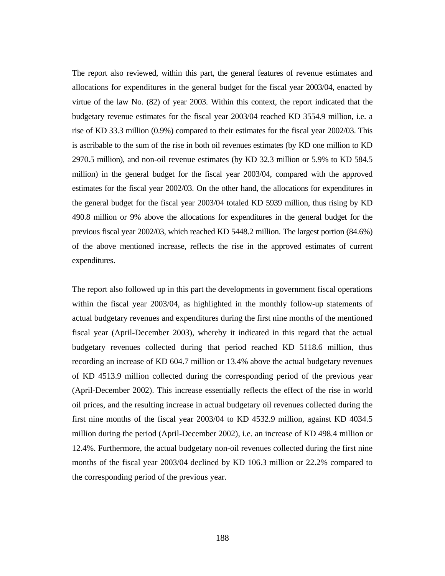The report also reviewed, within this part, the general features of revenue estimates and allocations for expenditures in the general budget for the fiscal year 2003/04, enacted by virtue of the law No. (82) of year 2003. Within this context, the report indicated that the budgetary revenue estimates for the fiscal year 2003/04 reached KD 3554.9 million, i.e. a rise of KD 33.3 million (0.9%) compared to their estimates for the fiscal year 2002/03. This is ascribable to the sum of the rise in both oil revenues estimates (by KD one million to KD 2970.5 million), and non-oil revenue estimates (by KD 32.3 million or 5.9% to KD 584.5 million) in the general budget for the fiscal year 2003/04, compared with the approved estimates for the fiscal year 2002/03. On the other hand, the allocations for expenditures in the general budget for the fiscal year 2003/04 totaled KD 5939 million, thus rising by KD 490.8 million or 9% above the allocations for expenditures in the general budget for the previous fiscal year 2002/03, which reached KD 5448.2 million. The largest portion (84.6%) of the above mentioned increase, reflects the rise in the approved estimates of current expenditures.

The report also followed up in this part the developments in government fiscal operations within the fiscal year 2003/04, as highlighted in the monthly follow-up statements of actual budgetary revenues and expenditures during the first nine months of the mentioned fiscal year (April-December 2003), whereby it indicated in this regard that the actual budgetary revenues collected during that period reached KD 5118.6 million, thus recording an increase of KD 604.7 million or 13.4% above the actual budgetary revenues of KD 4513.9 million collected during the corresponding period of the previous year (April-December 2002). This increase essentially reflects the effect of the rise in world oil prices, and the resulting increase in actual budgetary oil revenues collected during the first nine months of the fiscal year 2003/04 to KD 4532.9 million, against KD 4034.5 million during the period (April-December 2002), i.e. an increase of KD 498.4 million or 12.4%. Furthermore, the actual budgetary non-oil revenues collected during the first nine months of the fiscal year 2003/04 declined by KD 106.3 million or 22.2% compared to the corresponding period of the previous year.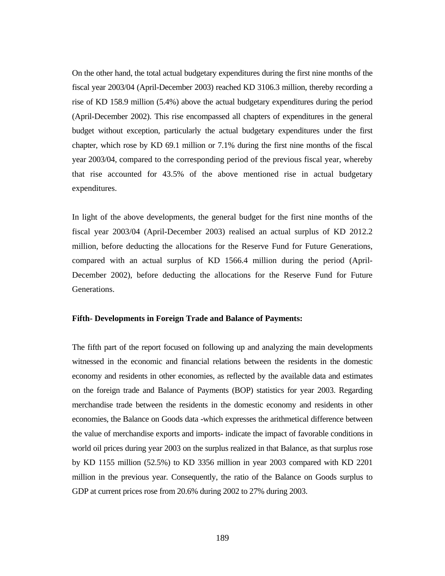On the other hand, the total actual budgetary expenditures during the first nine months of the fiscal year 2003/04 (April-December 2003) reached KD 3106.3 million, thereby recording a rise of KD 158.9 million (5.4%) above the actual budgetary expenditures during the period (April-December 2002). This rise encompassed all chapters of expenditures in the general budget without exception, particularly the actual budgetary expenditures under the first chapter, which rose by KD 69.1 million or 7.1% during the first nine months of the fiscal year 2003/04, compared to the corresponding period of the previous fiscal year, whereby that rise accounted for 43.5% of the above mentioned rise in actual budgetary expenditures.

In light of the above developments, the general budget for the first nine months of the fiscal year 2003/04 (April-December 2003) realised an actual surplus of KD 2012.2 million, before deducting the allocations for the Reserve Fund for Future Generations, compared with an actual surplus of KD 1566.4 million during the period (April-December 2002), before deducting the allocations for the Reserve Fund for Future Generations.

#### **Fifth- Developments in Foreign Trade and Balance of Payments:**

The fifth part of the report focused on following up and analyzing the main developments witnessed in the economic and financial relations between the residents in the domestic economy and residents in other economies, as reflected by the available data and estimates on the foreign trade and Balance of Payments (BOP) statistics for year 2003. Regarding merchandise trade between the residents in the domestic economy and residents in other economies, the Balance on Goods data -which expresses the arithmetical difference between the value of merchandise exports and imports- indicate the impact of favorable conditions in world oil prices during year 2003 on the surplus realized in that Balance, as that surplus rose by KD 1155 million (52.5%) to KD 3356 million in year 2003 compared with KD 2201 million in the previous year. Consequently, the ratio of the Balance on Goods surplus to GDP at current prices rose from 20.6% during 2002 to 27% during 2003.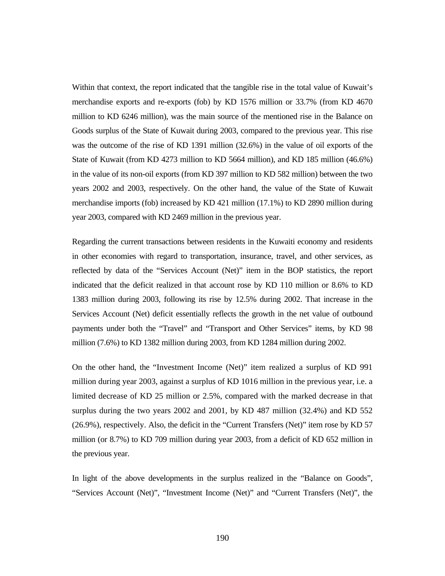Within that context, the report indicated that the tangible rise in the total value of Kuwait's merchandise exports and re-exports (fob) by KD 1576 million or 33.7% (from KD 4670 million to KD 6246 million), was the main source of the mentioned rise in the Balance on Goods surplus of the State of Kuwait during 2003, compared to the previous year. This rise was the outcome of the rise of KD 1391 million (32.6%) in the value of oil exports of the State of Kuwait (from KD 4273 million to KD 5664 million), and KD 185 million (46.6%) in the value of its non-oil exports (from KD 397 million to KD 582 million) between the two years 2002 and 2003, respectively. On the other hand, the value of the State of Kuwait merchandise imports (fob) increased by KD 421 million (17.1%) to KD 2890 million during year 2003, compared with KD 2469 million in the previous year.

Regarding the current transactions between residents in the Kuwaiti economy and residents in other economies with regard to transportation, insurance, travel, and other services, as reflected by data of the "Services Account (Net)" item in the BOP statistics, the report indicated that the deficit realized in that account rose by KD 110 million or 8.6% to KD 1383 million during 2003, following its rise by 12.5% during 2002. That increase in the Services Account (Net) deficit essentially reflects the growth in the net value of outbound payments under both the "Travel" and "Transport and Other Services" items, by KD 98 million (7.6%) to KD 1382 million during 2003, from KD 1284 million during 2002.

On the other hand, the "Investment Income (Net)" item realized a surplus of KD 991 million during year 2003, against a surplus of KD 1016 million in the previous year, i.e. a limited decrease of KD 25 million or 2.5%, compared with the marked decrease in that surplus during the two years 2002 and 2001, by KD 487 million (32.4%) and KD 552 (26.9%), respectively. Also, the deficit in the "Current Transfers (Net)" item rose by KD 57 million (or 8.7%) to KD 709 million during year 2003, from a deficit of KD 652 million in the previous year.

In light of the above developments in the surplus realized in the "Balance on Goods", "Services Account (Net)", "Investment Income (Net)" and "Current Transfers (Net)", the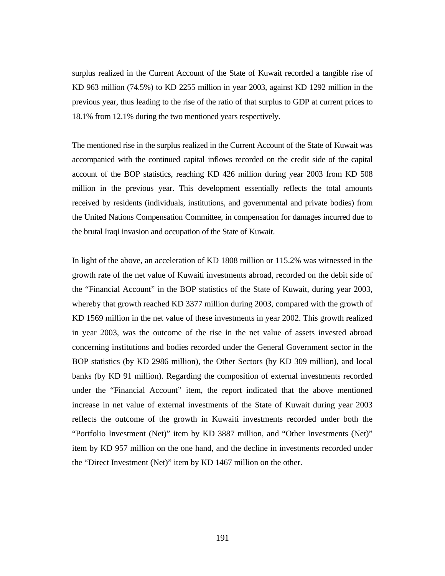surplus realized in the Current Account of the State of Kuwait recorded a tangible rise of KD 963 million (74.5%) to KD 2255 million in year 2003, against KD 1292 million in the previous year, thus leading to the rise of the ratio of that surplus to GDP at current prices to 18.1% from 12.1% during the two mentioned years respectively.

The mentioned rise in the surplus realized in the Current Account of the State of Kuwait was accompanied with the continued capital inflows recorded on the credit side of the capital account of the BOP statistics, reaching KD 426 million during year 2003 from KD 508 million in the previous year. This development essentially reflects the total amounts received by residents (individuals, institutions, and governmental and private bodies) from the United Nations Compensation Committee, in compensation for damages incurred due to the brutal Iraqi invasion and occupation of the State of Kuwait.

In light of the above, an acceleration of KD 1808 million or 115.2% was witnessed in the growth rate of the net value of Kuwaiti investments abroad, recorded on the debit side of the "Financial Account" in the BOP statistics of the State of Kuwait, during year 2003, whereby that growth reached KD 3377 million during 2003, compared with the growth of KD 1569 million in the net value of these investments in year 2002. This growth realized in year 2003, was the outcome of the rise in the net value of assets invested abroad concerning institutions and bodies recorded under the General Government sector in the BOP statistics (by KD 2986 million), the Other Sectors (by KD 309 million), and local banks (by KD 91 million). Regarding the composition of external investments recorded under the "Financial Account" item, the report indicated that the above mentioned increase in net value of external investments of the State of Kuwait during year 2003 reflects the outcome of the growth in Kuwaiti investments recorded under both the "Portfolio Investment (Net)" item by KD 3887 million, and "Other Investments (Net)" item by KD 957 million on the one hand, and the decline in investments recorded under the "Direct Investment (Net)" item by KD 1467 million on the other.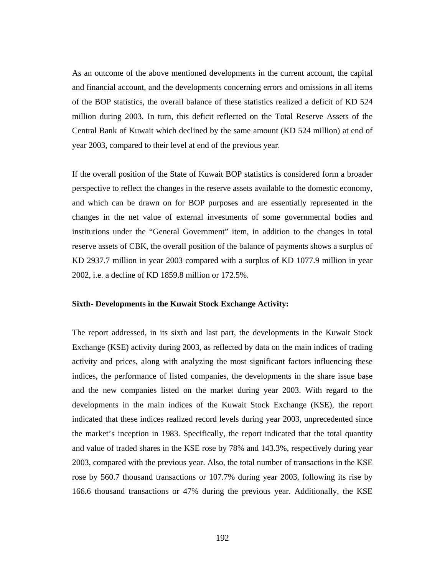As an outcome of the above mentioned developments in the current account, the capital and financial account, and the developments concerning errors and omissions in all items of the BOP statistics, the overall balance of these statistics realized a deficit of KD 524 million during 2003. In turn, this deficit reflected on the Total Reserve Assets of the Central Bank of Kuwait which declined by the same amount (KD 524 million) at end of year 2003, compared to their level at end of the previous year.

If the overall position of the State of Kuwait BOP statistics is considered form a broader perspective to reflect the changes in the reserve assets available to the domestic economy, and which can be drawn on for BOP purposes and are essentially represented in the changes in the net value of external investments of some governmental bodies and institutions under the "General Government" item, in addition to the changes in total reserve assets of CBK, the overall position of the balance of payments shows a surplus of KD 2937.7 million in year 2003 compared with a surplus of KD 1077.9 million in year 2002, i.e. a decline of KD 1859.8 million or 172.5%.

# **Sixth- Developments in the Kuwait Stock Exchange Activity:**

The report addressed, in its sixth and last part, the developments in the Kuwait Stock Exchange (KSE) activity during 2003, as reflected by data on the main indices of trading activity and prices, along with analyzing the most significant factors influencing these indices, the performance of listed companies, the developments in the share issue base and the new companies listed on the market during year 2003. With regard to the developments in the main indices of the Kuwait Stock Exchange (KSE), the report indicated that these indices realized record levels during year 2003, unprecedented since the market's inception in 1983. Specifically, the report indicated that the total quantity and value of traded shares in the KSE rose by 78% and 143.3%, respectively during year 2003, compared with the previous year. Also, the total number of transactions in the KSE rose by 560.7 thousand transactions or 107.7% during year 2003, following its rise by 166.6 thousand transactions or 47% during the previous year. Additionally, the KSE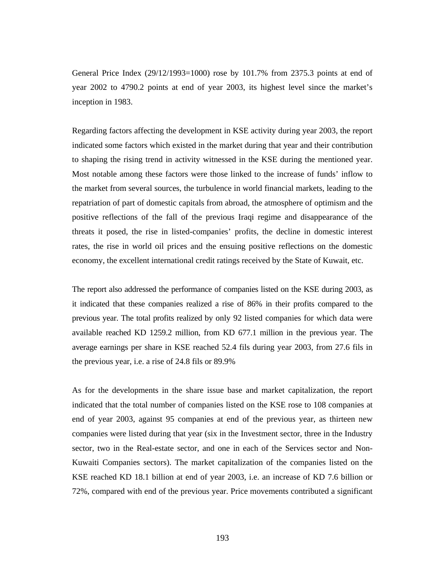General Price Index (29/12/1993=1000) rose by 101.7% from 2375.3 points at end of year 2002 to 4790.2 points at end of year 2003, its highest level since the market's inception in 1983.

Regarding factors affecting the development in KSE activity during year 2003, the report indicated some factors which existed in the market during that year and their contribution to shaping the rising trend in activity witnessed in the KSE during the mentioned year. Most notable among these factors were those linked to the increase of funds' inflow to the market from several sources, the turbulence in world financial markets, leading to the repatriation of part of domestic capitals from abroad, the atmosphere of optimism and the positive reflections of the fall of the previous Iraqi regime and disappearance of the threats it posed, the rise in listed-companies' profits, the decline in domestic interest rates, the rise in world oil prices and the ensuing positive reflections on the domestic economy, the excellent international credit ratings received by the State of Kuwait, etc.

The report also addressed the performance of companies listed on the KSE during 2003, as it indicated that these companies realized a rise of 86% in their profits compared to the previous year. The total profits realized by only 92 listed companies for which data were available reached KD 1259.2 million, from KD 677.1 million in the previous year. The average earnings per share in KSE reached 52.4 fils during year 2003, from 27.6 fils in the previous year, i.e. a rise of 24.8 fils or 89.9%

As for the developments in the share issue base and market capitalization, the report indicated that the total number of companies listed on the KSE rose to 108 companies at end of year 2003, against 95 companies at end of the previous year, as thirteen new companies were listed during that year (six in the Investment sector, three in the Industry sector, two in the Real-estate sector, and one in each of the Services sector and Non-Kuwaiti Companies sectors). The market capitalization of the companies listed on the KSE reached KD 18.1 billion at end of year 2003, i.e. an increase of KD 7.6 billion or 72%, compared with end of the previous year. Price movements contributed a significant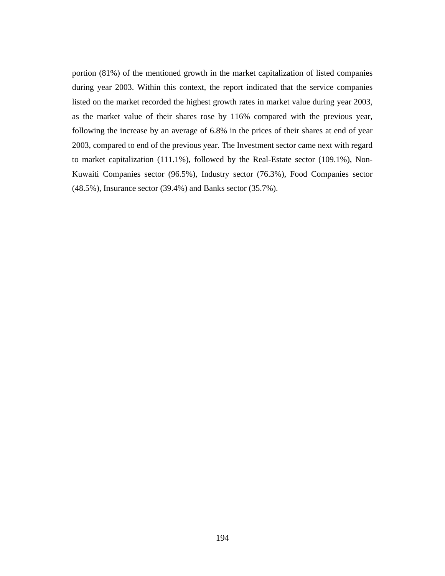portion (81%) of the mentioned growth in the market capitalization of listed companies during year 2003. Within this context, the report indicated that the service companies listed on the market recorded the highest growth rates in market value during year 2003, as the market value of their shares rose by 116% compared with the previous year, following the increase by an average of 6.8% in the prices of their shares at end of year 2003, compared to end of the previous year. The Investment sector came next with regard to market capitalization (111.1%), followed by the Real-Estate sector (109.1%), Non-Kuwaiti Companies sector (96.5%), Industry sector (76.3%), Food Companies sector (48.5%), Insurance sector (39.4%) and Banks sector (35.7%).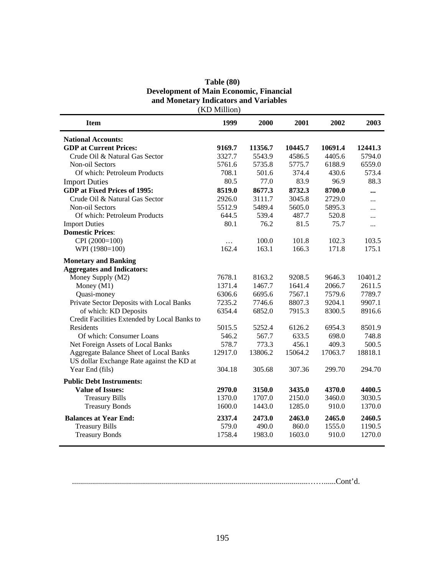| (KD Million)                                 |          |         |         |         |          |  |  |  |
|----------------------------------------------|----------|---------|---------|---------|----------|--|--|--|
| <b>Item</b>                                  | 1999     | 2000    | 2001    | 2002    | 2003     |  |  |  |
| <b>National Accounts:</b>                    |          |         |         |         |          |  |  |  |
| <b>GDP</b> at Current Prices:                | 9169.7   | 11356.7 | 10445.7 | 10691.4 | 12441.3  |  |  |  |
| Crude Oil & Natural Gas Sector               | 3327.7   | 5543.9  | 4586.5  | 4405.6  | 5794.0   |  |  |  |
| Non-oil Sectors                              | 5761.6   | 5735.8  | 5775.7  | 6188.9  | 6559.0   |  |  |  |
| Of which: Petroleum Products                 | 708.1    | 501.6   | 374.4   | 430.6   | 573.4    |  |  |  |
| <b>Import Duties</b>                         | 80.5     | 77.0    | 83.9    | 96.9    | 88.3     |  |  |  |
| <b>GDP</b> at Fixed Prices of 1995:          | 8519.0   | 8677.3  | 8732.3  | 8700.0  |          |  |  |  |
| Crude Oil & Natural Gas Sector               | 2926.0   | 3111.7  | 3045.8  | 2729.0  | $\cdots$ |  |  |  |
| Non-oil Sectors                              | 5512.9   | 5489.4  | 5605.0  | 5895.3  |          |  |  |  |
| Of which: Petroleum Products                 | 644.5    | 539.4   | 487.7   | 520.8   |          |  |  |  |
| <b>Import Duties</b>                         | 80.1     | 76.2    | 81.5    | 75.7    | $\cdots$ |  |  |  |
| <b>Domestic Prices:</b>                      |          |         |         |         |          |  |  |  |
| CPI (2000=100)                               | $\cdots$ | 100.0   | 101.8   | 102.3   | 103.5    |  |  |  |
| WPI (1980=100)                               | 162.4    | 163.1   | 166.3   | 171.8   | 175.1    |  |  |  |
| <b>Monetary and Banking</b>                  |          |         |         |         |          |  |  |  |
| <b>Aggregates and Indicators:</b>            |          |         |         |         |          |  |  |  |
| Money Supply (M2)                            | 7678.1   | 8163.2  | 9208.5  | 9646.3  | 10401.2  |  |  |  |
| Money (M1)                                   | 1371.4   | 1467.7  | 1641.4  | 2066.7  | 2611.5   |  |  |  |
| Quasi-money                                  | 6306.6   | 6695.6  | 7567.1  | 7579.6  | 7789.7   |  |  |  |
| Private Sector Deposits with Local Banks     | 7235.2   | 7746.6  | 8807.3  | 9204.1  | 9907.1   |  |  |  |
| of which: KD Deposits                        | 6354.4   | 6852.0  | 7915.3  | 8300.5  | 8916.6   |  |  |  |
| Credit Facilities Extended by Local Banks to |          |         |         |         |          |  |  |  |
| Residents                                    | 5015.5   | 5252.4  | 6126.2  | 6954.3  | 8501.9   |  |  |  |
| Of which: Consumer Loans                     | 546.2    | 567.7   | 633.5   | 698.0   | 748.8    |  |  |  |
| Net Foreign Assets of Local Banks            | 578.7    | 773.3   | 456.1   | 409.3   | 500.5    |  |  |  |
| Aggregate Balance Sheet of Local Banks       | 12917.0  | 13806.2 | 15064.2 | 17063.7 | 18818.1  |  |  |  |
| US dollar Exchange Rate against the KD at    |          |         |         |         |          |  |  |  |
| Year End (fils)                              | 304.18   | 305.68  | 307.36  | 299.70  | 294.70   |  |  |  |
| <b>Public Debt Instruments:</b>              |          |         |         |         |          |  |  |  |
| <b>Value of Issues:</b>                      | 2970.0   | 3150.0  | 3435.0  | 4370.0  | 4400.5   |  |  |  |
| <b>Treasury Bills</b>                        | 1370.0   | 1707.0  | 2150.0  | 3460.0  | 3030.5   |  |  |  |
| <b>Treasury Bonds</b>                        | 1600.0   | 1443.0  | 1285.0  | 910.0   | 1370.0   |  |  |  |
| <b>Balances at Year End:</b>                 | 2337.4   | 2473.0  | 2463.0  | 2465.0  | 2460.5   |  |  |  |
| <b>Treasury Bills</b>                        | 579.0    | 490.0   | 860.0   | 1555.0  | 1190.5   |  |  |  |
| <b>Treasury Bonds</b>                        | 1758.4   | 1983.0  | 1603.0  | 910.0   | 1270.0   |  |  |  |

**Table (80) Development of Main Economic, Financial and Monetary Indicators and Variables** 

......................................................................................................................……......Cont'd.